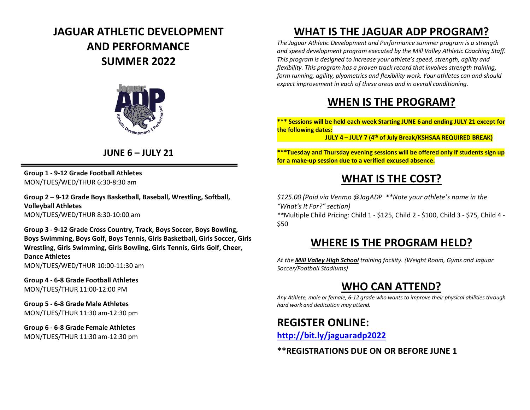# **JAGUAR ATHLETIC DEVELOPMENT AND PERFORMANCE SUMMER 2022**



#### **JUNE 6 – JULY 21**

**Group 1 - 9-12 Grade Football Athletes** MON/TUES/WED/THUR 6:30-8:30 am

**Group 2 – 9-12 Grade Boys Basketball, Baseball, Wrestling, Softball, Volleyball Athletes** MON/TUES/WED/THUR 8:30-10:00 am

**Group 3 - 9-12 Grade Cross Country, Track, Boys Soccer, Boys Bowling, Boys Swimming, Boys Golf, Boys Tennis, Girls Basketball, Girls Soccer, Girls Wrestling, Girls Swimming, Girls Bowling, Girls Tennis, Girls Golf, Cheer, Dance Athletes** MON/TUES/WED/THUR 10:00-11:30 am

**Group 4 - 6-8 Grade Football Athletes** MON/TUES/THUR 11:00-12:00 PM

**Group 5 - 6-8 Grade Male Athletes** MON/TUES/THUR 11:30 am-12:30 pm

**Group 6 - 6-8 Grade Female Athletes** MON/TUES/THUR 11:30 am-12:30 pm

## **WHAT IS THE JAGUAR ADP PROGRAM?**

*The Jaguar Athletic Development and Performance summer program is a strength and speed development program executed by the Mill Valley Athletic Coaching Staff. This program is designed to increase your athlete's speed, strength, agility and flexibility. This program has a proven track record that involves strength training, form running, agility, plyometrics and flexibility work. Your athletes can and should expect improvement in each of these areas and in overall conditioning.*

### **WHEN IS THE PROGRAM?**

**\*\*\* Sessions will be held each week Starting JUNE 6 and ending JULY 21 except for the following dates:**

**JULY 4 – JULY 7 (4th of July Break/KSHSAA REQUIRED BREAK)**

**\*\*\*Tuesday and Thursday evening sessions will be offered only if students sign up for a make-up session due to a verified excused absence.**

### **WHAT IS THE COST?**

*\$125.00 (Paid via Venmo @JagADP \*\*Note your athlete's name in the "What's It For?" section)*

*\*\**Multiple Child Pricing: Child 1 - \$125, Child 2 - \$100, Child 3 - \$75, Child 4 - \$50

### **WHERE IS THE PROGRAM HELD?**

*At the Mill Valley High School training facility. (Weight Room, Gyms and Jaguar Soccer/Football Stadiums)*

## **WHO CAN ATTEND?**

*Any Athlete, male or female, 6-12 grade who wants to improve their physical abilities through hard work and dedication may attend.* 

#### **REGISTER ONLINE:**

**http://bit.ly/jaguaradp2022**

**\*\*REGISTRATIONS DUE ON OR BEFORE JUNE 1**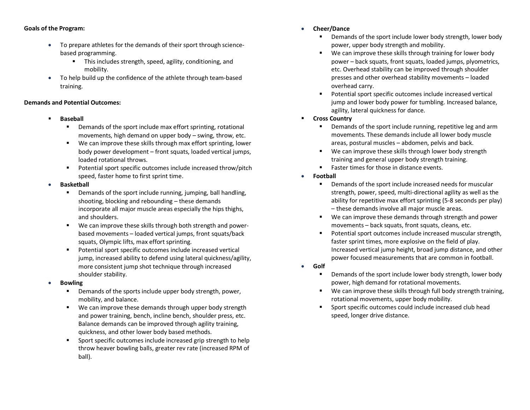#### **Goals of the Program:**

- To prepare athletes for the demands of their sport through sciencebased programming.
	- § This includes strength, speed, agility, conditioning, and mobility.
- To help build up the confidence of the athlete through team-based training.

#### **Demands and Potential Outcomes:**

- § **Baseball** 
	- Demands of the sport include max effort sprinting, rotational movements, high demand on upper body – swing, throw, etc.
	- We can improve these skills through max effort sprinting, lower body power development – front squats, loaded vertical jumps, loaded rotational throws.
	- Potential sport specific outcomes include increased throw/pitch speed, faster home to first sprint time.
- **Basketball**
	- Demands of the sport include running, jumping, ball handling, shooting, blocking and rebounding – these demands incorporate all major muscle areas especially the hips thighs, and shoulders.
	- We can improve these skills through both strength and powerbased movements – loaded vertical jumps, front squats/back squats, Olympic lifts, max effort sprinting.
	- Potential sport specific outcomes include increased vertical jump, increased ability to defend using lateral quickness/agility, more consistent jump shot technique through increased shoulder stability.
- **Bowling** 
	- Demands of the sports include upper body strength, power, mobility, and balance.
	- We can improve these demands through upper body strength and power training, bench, incline bench, shoulder press, etc. Balance demands can be improved through agility training, quickness, and other lower body based methods.
	- Sport specific outcomes include increased grip strength to help throw heaver bowling balls, greater rev rate (increased RPM of ball).
- **Cheer/Dance** 
	- Demands of the sport include lower body strength, lower body power, upper body strength and mobility.
	- We can improve these skills through training for lower body power – back squats, front squats, loaded jumps, plyometrics, etc. Overhead stability can be improved through shoulder presses and other overhead stability movements – loaded overhead carry.
	- Potential sport specific outcomes include increased vertical jump and lower body power for tumbling. Increased balance, agility, lateral quickness for dance.
- § **Cross Country**
	- Demands of the sport include running, repetitive leg and arm movements. These demands include all lower body muscle areas, postural muscles – abdomen, pelvis and back.
	- We can improve these skills through lower body strength training and general upper body strength training.
	- Faster times for those in distance events.
- **Football** 
	- Demands of the sport include increased needs for muscular strength, power, speed, multi-directional agility as well as the ability for repetitive max effort sprinting (5-8 seconds per play) – these demands involve all major muscle areas.
	- We can improve these demands through strength and power movements – back squats, front squats, cleans, etc.
	- Potential sport outcomes include increased muscular strength, faster sprint times, more explosive on the field of play. Increased vertical jump height, broad jump distance, and other power focused measurements that are common in football.
- **Golf** 
	- Demands of the sport include lower body strength, lower body power, high demand for rotational movements.
	- We can improve these skills through full body strength training, rotational movements, upper body mobility.
	- Sport specific outcomes could include increased club head speed, longer drive distance.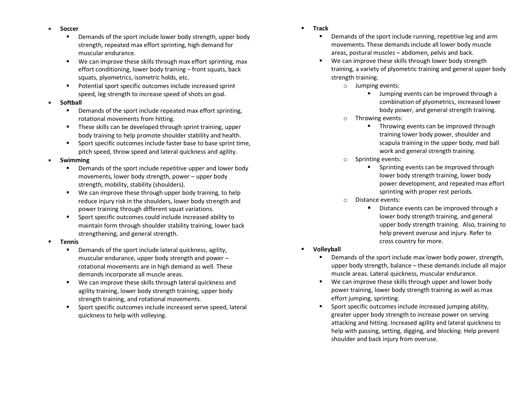- **Soccer** 
	- Demands of the sport include lower body strength, upper body strength, repeated max effort sprinting, high demand for muscular endurance.
	- We can improve these skills through max effort sprinting, max effort conditioning, lower body training – front squats, back squats, plyometrics, isometric holds, etc.
	- Potential sport specific outcomes include increased sprint speed, leg strength to increase speed of shots on goal.
- **Softball** 
	- Demands of the sport include repeated max effort sprinting, rotational movements from hitting.
	- These skills can be developed through sprint training, upper body training to help promote shoulder stability and health.
	- Sport specific outcomes include faster base to base sprint time, pitch speed, throw speed and lateral quickness and agility.
- **Swimming** 
	- Demands of the sport include repetitive upper and lower body movements, lower body strength, power – upper body strength, mobility, stability (shoulders).
	- We can improve these through upper body training, to help reduce injury risk in the shoulders, lower body strength and power training through different squat variations.
	- Sport specific outcomes could include increased ability to maintain form through shoulder stability training, lower back strengthening, and general strength.
- § **Tennis**
	- Demands of the sport include lateral quickness, agility, muscular endurance, upper body strength and power – rotational movements are in high demand as well. These demands incorporate all muscle areas.
	- We can improve these skills through lateral quickness and agility training, lower body strength training, upper body strength training, and rotational movements.
	- Sport specific outcomes include increased serve speed, lateral quickness to help with volleying.
- § **Track**
	- Demands of the sport include running, repetitive leg and arm movements. These demands include all lower body muscle areas, postural muscles – abdomen, pelvis and back.
	- We can improve these skills through lower body strength training, a variety of plyometric training and general upper body strength training.
		- o Jumping events:
			- § Jumping events can be improved through a combination of plyometrics, increased lower body power, and general strength training.
		- o Throwing events:
			- Throwing events can be improved through training lower body power, shoulder and scapula training in the upper body, med ball work and general strength training.
		- o Sprinting events:
			- § Sprinting events can be improved through lower body strength training, lower body power development, and repeated max effort sprinting with proper rest periods.
		- o Distance events:
			- Distance events can be improved through a lower body strength training, and general upper body strength training. Also, training to help prevent overuse and injury. Refer to cross country for more.
- § **Volleyball**
	- Demands of the sport include max lower body power, strength, upper body strength, balance – these demands include all major muscle areas. Lateral quickness, muscular endurance.
	- We can improve these skills through upper and lower body power training, lower body strength training as well as max effort jumping, sprinting.
	- § Sport specific outcomes include increased jumping ability, greater upper body strength to increase power on serving attacking and hitting. Increased agility and lateral quickness to help with passing, setting, digging, and blocking. Help prevent shoulder and back injury from overuse.